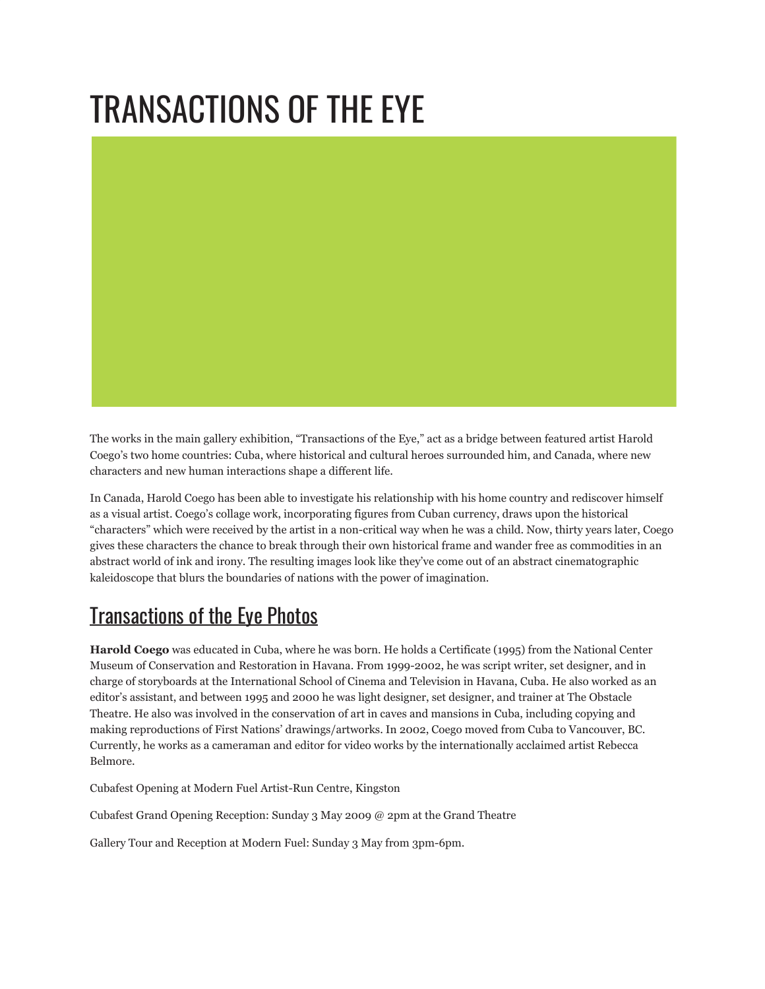# TRANSACTIONS OF THE EYE

The works in the main gallery exhibition, "Transactions of the Eye," act as a bridge between featured artist Harold Coego's two home countries: Cuba, where historical and cultural heroes surrounded him, and Canada, where new characters and new human interactions shape a different life.

In Canada, Harold Coego has been able to investigate his relationship with his home country and rediscover himself as a visual artist. Coego's collage work, incorporating figures from Cuban currency, draws upon the historical "characters" which were received by the artist in a non-critical way when he was a child. Now, thirty years later, Coego gives these characters the chance to break through their own historical frame and wander free as commodities in an abstract world of ink and irony. The resulting images look like they've come out of an abstract cinematographic kaleidoscope that blurs the boundaries of nations with the power of imagination.

### [Transactions](http://www.flickr.com/photos/modernfuel/sets/72157621951477153/) of the Eye Photos

**Harold Coego** was educated in Cuba, where he was born. He holds a Certificate (1995) from the National Center Museum of Conservation and Restoration in Havana. From 1999-2002, he was script writer, set designer, and in charge of storyboards at the International School of Cinema and Television in Havana, Cuba. He also worked as an editor's assistant, and between 1995 and 2000 he was light designer, set designer, and trainer at The Obstacle Theatre. He also was involved in the conservation of art in caves and mansions in Cuba, including copying and making reproductions of First Nations' drawings/artworks. In 2002, Coego moved from Cuba to Vancouver, BC. Currently, he works as a cameraman and editor for video works by the internationally acclaimed artist Rebecca Belmore.

Cubafest Opening at Modern Fuel Artist-Run Centre, Kingston

Cubafest Grand Opening Reception: Sunday 3 May 2009 @ 2pm at the Grand Theatre

Gallery Tour and Reception at Modern Fuel: Sunday 3 May from 3pm-6pm.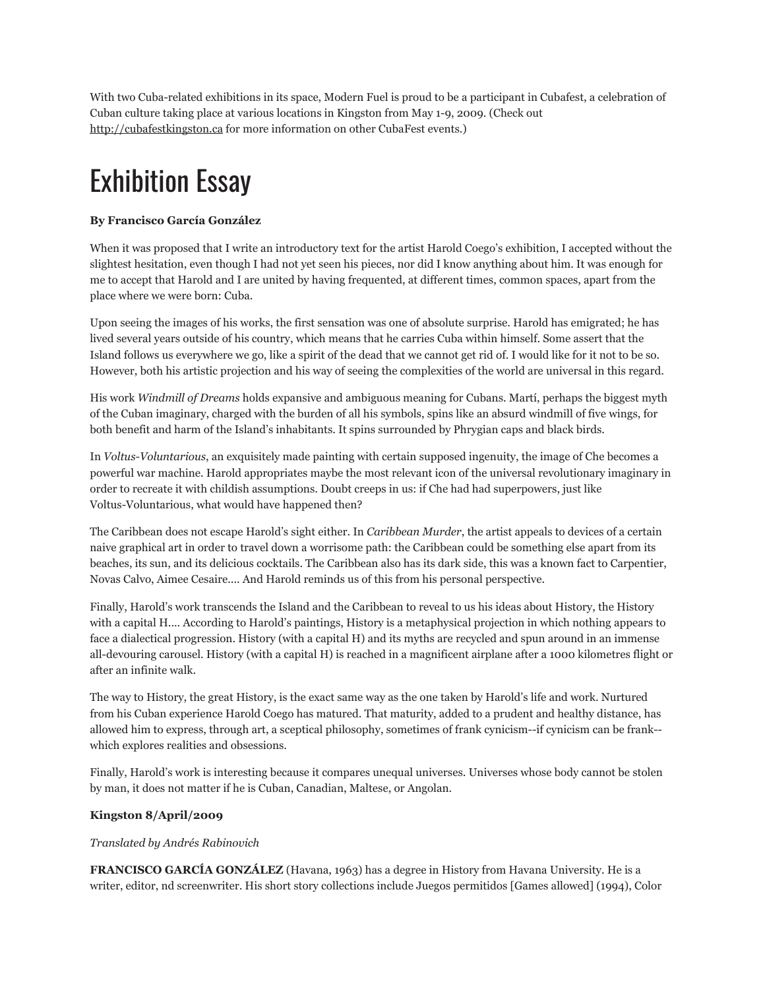With two Cuba-related exhibitions in its space, Modern Fuel is proud to be a participant in Cubafest, a celebration of Cuban culture taking place at various locations in Kingston from May 1-9, 2009. (Check out [http://cubafestkingston.ca](http://cubafestkingston.ca/) for more information on other CubaFest events.)

## Exhibition Essay

#### **By Francisco García González**

When it was proposed that I write an introductory text for the artist Harold Coego's exhibition, I accepted without the slightest hesitation, even though I had not yet seen his pieces, nor did I know anything about him. It was enough for me to accept that Harold and I are united by having frequented, at different times, common spaces, apart from the place where we were born: Cuba.

Upon seeing the images of his works, the first sensation was one of absolute surprise. Harold has emigrated; he has lived several years outside of his country, which means that he carries Cuba within himself. Some assert that the Island follows us everywhere we go, like a spirit of the dead that we cannot get rid of. I would like for it not to be so. However, both his artistic projection and his way of seeing the complexities of the world are universal in this regard.

His work *Windmill of Dreams* holds expansive and ambiguous meaning for Cubans. Martí, perhaps the biggest myth of the Cuban imaginary, charged with the burden of all his symbols, spins like an absurd windmill of five wings, for both benefit and harm of the Island's inhabitants. It spins surrounded by Phrygian caps and black birds.

In *Voltus-Voluntarious*, an exquisitely made painting with certain supposed ingenuity, the image of Che becomes a powerful war machine. Harold appropriates maybe the most relevant icon of the universal revolutionary imaginary in order to recreate it with childish assumptions. Doubt creeps in us: if Che had had superpowers, just like Voltus-Voluntarious, what would have happened then?

The Caribbean does not escape Harold's sight either. In *Caribbean Murder*, the artist appeals to devices of a certain naive graphical art in order to travel down a worrisome path: the Caribbean could be something else apart from its beaches, its sun, and its delicious cocktails. The Caribbean also has its dark side, this was a known fact to Carpentier, Novas Calvo, Aimee Cesaire.... And Harold reminds us of this from his personal perspective.

Finally, Harold's work transcends the Island and the Caribbean to reveal to us his ideas about History, the History with a capital H.... According to Harold's paintings, History is a metaphysical projection in which nothing appears to face a dialectical progression. History (with a capital H) and its myths are recycled and spun around in an immense all-devouring carousel. History (with a capital H) is reached in a magnificent airplane after a 1000 kilometres flight or after an infinite walk.

The way to History, the great History, is the exact same way as the one taken by Harold's life and work. Nurtured from his Cuban experience Harold Coego has matured. That maturity, added to a prudent and healthy distance, has allowed him to express, through art, a sceptical philosophy, sometimes of frank cynicism--if cynicism can be frank- which explores realities and obsessions.

Finally, Harold's work is interesting because it compares unequal universes. Universes whose body cannot be stolen by man, it does not matter if he is Cuban, Canadian, Maltese, or Angolan.

#### **Kingston 8/April/2009**

#### *Translated by Andrés Rabinovich*

**FRANCISCO GARCÍA GONZÁLEZ** (Havana, 1963) has a degree in History from Havana University. He is a writer, editor, nd screenwriter. His short story collections include Juegos permitidos [Games allowed] (1994), Color